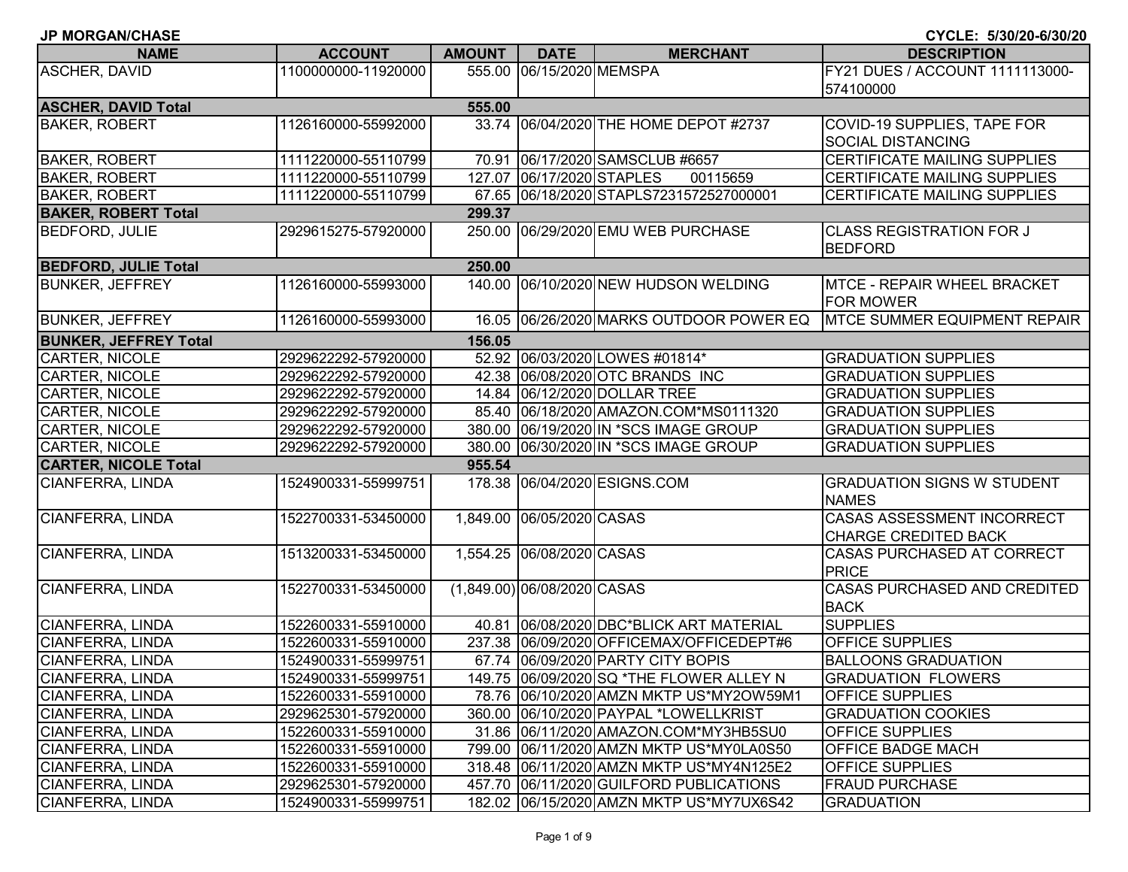| <b>JP MORGAN/CHASE</b><br>CYCLE: 5/30/20-6/30/20 |                     |               |                             |                                          |                                                                  |  |
|--------------------------------------------------|---------------------|---------------|-----------------------------|------------------------------------------|------------------------------------------------------------------|--|
| <b>NAME</b>                                      | <b>ACCOUNT</b>      | <b>AMOUNT</b> | <b>DATE</b>                 | <b>MERCHANT</b>                          | <b>DESCRIPTION</b>                                               |  |
| <b>ASCHER, DAVID</b>                             | 1100000000-11920000 |               | 555.00 06/15/2020 MEMSPA    |                                          | FY21 DUES / ACCOUNT 1111113000-<br>574100000                     |  |
| <b>ASCHER, DAVID Total</b>                       |                     | 555.00        |                             |                                          |                                                                  |  |
| <b>BAKER, ROBERT</b>                             | 1126160000-55992000 |               |                             | 33.74 06/04/2020 THE HOME DEPOT #2737    | COVID-19 SUPPLIES, TAPE FOR<br>SOCIAL DISTANCING                 |  |
| <b>BAKER, ROBERT</b>                             | 1111220000-55110799 |               |                             | 70.91 06/17/2020 SAMSCLUB #6657          | <b>CERTIFICATE MAILING SUPPLIES</b>                              |  |
| <b>BAKER, ROBERT</b>                             | 1111220000-55110799 |               | 127.07 06/17/2020 STAPLES   | 00115659                                 | CERTIFICATE MAILING SUPPLIES                                     |  |
| <b>BAKER, ROBERT</b>                             | 1111220000-55110799 |               |                             | 67.65 06/18/2020 STAPLS7231572527000001  | CERTIFICATE MAILING SUPPLIES                                     |  |
| <b>BAKER, ROBERT Total</b>                       |                     | 299.37        |                             |                                          |                                                                  |  |
| <b>BEDFORD, JULIE</b>                            | 2929615275-57920000 |               |                             | 250.00 06/29/2020 EMU WEB PURCHASE       | <b>CLASS REGISTRATION FOR J</b><br><b>BEDFORD</b>                |  |
| <b>BEDFORD, JULIE Total</b>                      |                     | 250.00        |                             |                                          |                                                                  |  |
| <b>BUNKER, JEFFREY</b>                           | 1126160000-55993000 |               |                             | 140.00 06/10/2020 NEW HUDSON WELDING     | MTCE - REPAIR WHEEL BRACKET<br>FOR MOWER                         |  |
| <b>BUNKER, JEFFREY</b>                           | 1126160000-55993000 |               |                             | 16.05 06/26/2020 MARKS OUTDOOR POWER EQ  | <b>IMTCE SUMMER EQUIPMENT REPAIR</b>                             |  |
| <b>BUNKER, JEFFREY Total</b>                     |                     | 156.05        |                             |                                          |                                                                  |  |
| CARTER, NICOLE                                   | 2929622292-57920000 |               |                             | 52.92 06/03/2020 LOWES #01814*           | <b>GRADUATION SUPPLIES</b>                                       |  |
| <b>CARTER, NICOLE</b>                            | 2929622292-57920000 |               |                             | 42.38 06/08/2020 OTC BRANDS INC          | <b>GRADUATION SUPPLIES</b>                                       |  |
| CARTER, NICOLE                                   | 2929622292-57920000 |               |                             | 14.84 06/12/2020 DOLLAR TREE             | <b>GRADUATION SUPPLIES</b>                                       |  |
| <b>CARTER, NICOLE</b>                            | 2929622292-57920000 |               |                             | 85.40 06/18/2020 AMAZON.COM*MS0111320    | <b>GRADUATION SUPPLIES</b>                                       |  |
| <b>CARTER, NICOLE</b>                            | 2929622292-57920000 |               |                             | 380.00 06/19/2020 IN *SCS IMAGE GROUP    | <b>GRADUATION SUPPLIES</b>                                       |  |
| <b>CARTER, NICOLE</b>                            | 2929622292-57920000 |               |                             | 380.00 06/30/2020 IN *SCS IMAGE GROUP    | <b>GRADUATION SUPPLIES</b>                                       |  |
| <b>CARTER, NICOLE Total</b>                      |                     | 955.54        |                             |                                          |                                                                  |  |
| <b>CIANFERRA, LINDA</b>                          | 1524900331-55999751 |               |                             | 178.38 06/04/2020 ESIGNS.COM             | <b>GRADUATION SIGNS W STUDENT</b><br><b>NAMES</b>                |  |
| <b>CIANFERRA, LINDA</b>                          | 1522700331-53450000 |               | 1,849.00 06/05/2020 CASAS   |                                          | <b>CASAS ASSESSMENT INCORRECT</b><br><b>CHARGE CREDITED BACK</b> |  |
| CIANFERRA, LINDA                                 | 1513200331-53450000 |               | 1,554.25 06/08/2020 CASAS   |                                          | <b>CASAS PURCHASED AT CORRECT</b><br><b>PRICE</b>                |  |
| CIANFERRA, LINDA                                 | 1522700331-53450000 |               | (1,849.00) 06/08/2020 CASAS |                                          | CASAS PURCHASED AND CREDITED<br><b>BACK</b>                      |  |
| CIANFERRA, LINDA                                 | 1522600331-55910000 |               |                             | 40.81 06/08/2020 DBC*BLICK ART MATERIAL  | <b>SUPPLIES</b>                                                  |  |
| <b>CIANFERRA, LINDA</b>                          | 1522600331-55910000 |               |                             | 237.38 06/09/2020 OFFICEMAX/OFFICEDEPT#6 | OFFICE SUPPLIES                                                  |  |
| CIANFERRA, LINDA                                 | 1524900331-55999751 |               |                             | 67.74 06/09/2020 PARTY CITY BOPIS        | <b>BALLOONS GRADUATION</b>                                       |  |
| CIANFERRA, LINDA                                 | 1524900331-55999751 |               |                             | 149.75 06/09/2020 SQ *THE FLOWER ALLEY N | <b>GRADUATION FLOWERS</b>                                        |  |
| <b>CIANFERRA, LINDA</b>                          | 1522600331-55910000 |               |                             | 78.76 06/10/2020 AMZN MKTP US*MY2OW59M1  | <b>OFFICE SUPPLIES</b>                                           |  |
| <b>CIANFERRA, LINDA</b>                          | 2929625301-57920000 |               |                             | 360.00 06/10/2020 PAYPAL *LOWELLKRIST    | <b>GRADUATION COOKIES</b>                                        |  |
| CIANFERRA, LINDA                                 | 1522600331-55910000 |               |                             | 31.86 06/11/2020 AMAZON.COM*MY3HB5SU0    | <b>OFFICE SUPPLIES</b>                                           |  |
| CIANFERRA, LINDA                                 | 1522600331-55910000 |               |                             | 799.00 06/11/2020 AMZN MKTP US*MY0LA0S50 | <b>OFFICE BADGE MACH</b>                                         |  |
| CIANFERRA, LINDA                                 | 1522600331-55910000 |               |                             | 318.48 06/11/2020 AMZN MKTP US*MY4N125E2 | <b>OFFICE SUPPLIES</b>                                           |  |
| CIANFERRA, LINDA                                 | 2929625301-57920000 |               |                             | 457.70 06/11/2020 GUILFORD PUBLICATIONS  | <b>FRAUD PURCHASE</b>                                            |  |
| CIANFERRA, LINDA                                 | 1524900331-55999751 |               |                             | 182.02 06/15/2020 AMZN MKTP US*MY7UX6S42 | <b>GRADUATION</b>                                                |  |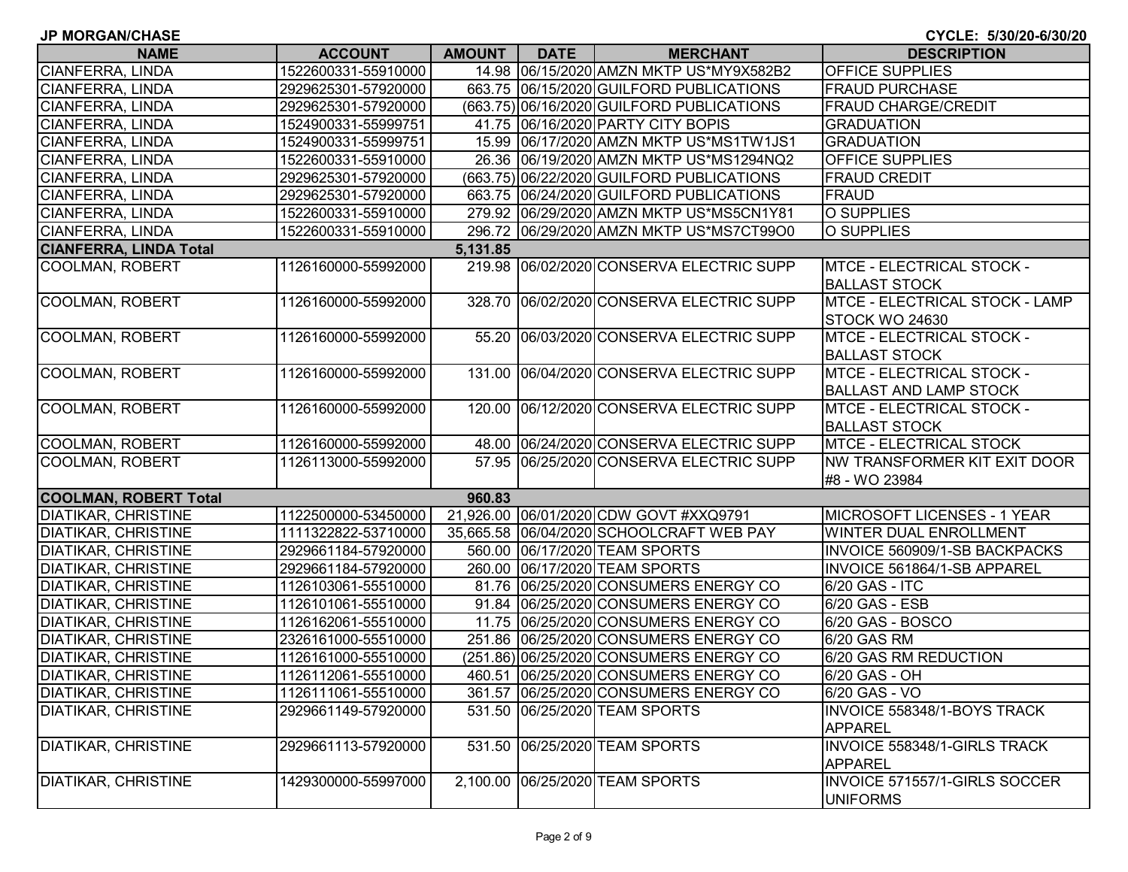**JP MORGAN/CHASE**

**CYCLE: 5/30/20-6/30/20**

| <b>NAME</b>                   | <b>ACCOUNT</b>      | AMOUNT   | DATE | <b>MERCHANT</b>                           | <b>DESCRIPTION</b>               |
|-------------------------------|---------------------|----------|------|-------------------------------------------|----------------------------------|
| CIANFERRA, LINDA              | 1522600331-55910000 |          |      | 14.98 06/15/2020 AMZN MKTP US*MY9X582B2   | <b>OFFICE SUPPLIES</b>           |
| <b>CIANFERRA, LINDA</b>       | 2929625301-57920000 |          |      | 663.75 06/15/2020 GUILFORD PUBLICATIONS   | <b>FRAUD PURCHASE</b>            |
| <b>CIANFERRA, LINDA</b>       | 2929625301-57920000 |          |      | (663.75) 06/16/2020 GUILFORD PUBLICATIONS | <b>FRAUD CHARGE/CREDIT</b>       |
| <b>CIANFERRA, LINDA</b>       | 1524900331-55999751 |          |      | 41.75 06/16/2020 PARTY CITY BOPIS         | <b>GRADUATION</b>                |
| <b>CIANFERRA, LINDA</b>       | 1524900331-55999751 |          |      | 15.99 06/17/2020 AMZN MKTP US*MS1TW1JS1   | <b>GRADUATION</b>                |
| <b>CIANFERRA, LINDA</b>       | 1522600331-55910000 |          |      | 26.36 06/19/2020 AMZN MKTP US*MS1294NQ2   | <b>OFFICE SUPPLIES</b>           |
| CIANFERRA, LINDA              | 2929625301-57920000 |          |      | (663.75) 06/22/2020 GUILFORD PUBLICATIONS | <b>FRAUD CREDIT</b>              |
| CIANFERRA, LINDA              | 2929625301-57920000 |          |      | 663.75 06/24/2020 GUILFORD PUBLICATIONS   | <b>FRAUD</b>                     |
| CIANFERRA, LINDA              | 1522600331-55910000 |          |      | 279.92 06/29/2020 AMZN MKTP US*MS5CN1Y81  | O SUPPLIES                       |
| <b>CIANFERRA, LINDA</b>       | 1522600331-55910000 |          |      | 296.72 06/29/2020 AMZN MKTP US*MS7CT99O0  | <b>O SUPPLIES</b>                |
| <b>CIANFERRA, LINDA Total</b> |                     | 5,131.85 |      |                                           |                                  |
| <b>COOLMAN, ROBERT</b>        | 1126160000-55992000 |          |      | 219.98 06/02/2020 CONSERVA ELECTRIC SUPP  | <b>MTCE - ELECTRICAL STOCK -</b> |
|                               |                     |          |      |                                           | <b>BALLAST STOCK</b>             |
| <b>COOLMAN, ROBERT</b>        | 1126160000-55992000 |          |      | 328.70 06/02/2020 CONSERVA ELECTRIC SUPP  | MTCE - ELECTRICAL STOCK - LAMP   |
|                               |                     |          |      |                                           | STOCK WO 24630                   |
| COOLMAN, ROBERT               | 1126160000-55992000 |          |      | 55.20 06/03/2020 CONSERVA ELECTRIC SUPP   | MTCE - ELECTRICAL STOCK -        |
|                               |                     |          |      |                                           | <b>BALLAST STOCK</b>             |
| COOLMAN, ROBERT               | 1126160000-55992000 |          |      | 131.00 06/04/2020 CONSERVA ELECTRIC SUPP  | MTCE - ELECTRICAL STOCK -        |
|                               |                     |          |      |                                           | <b>BALLAST AND LAMP STOCK</b>    |
| COOLMAN, ROBERT               | 1126160000-55992000 |          |      | 120.00 06/12/2020 CONSERVA ELECTRIC SUPP  | <b>MTCE - ELECTRICAL STOCK -</b> |
|                               |                     |          |      |                                           | <b>BALLAST STOCK</b>             |
| <b>COOLMAN, ROBERT</b>        | 1126160000-55992000 |          |      | 48.00 06/24/2020 CONSERVA ELECTRIC SUPP   | <b>MTCE - ELECTRICAL STOCK</b>   |
| COOLMAN, ROBERT               | 1126113000-55992000 |          |      | 57.95 06/25/2020 CONSERVA ELECTRIC SUPP   | NW TRANSFORMER KIT EXIT DOOR     |
|                               |                     |          |      |                                           | #8 - WO 23984                    |
| <b>COOLMAN, ROBERT Total</b>  |                     | 960.83   |      |                                           |                                  |
| <b>DIATIKAR, CHRISTINE</b>    | 1122500000-53450000 |          |      | 21,926.00 06/01/2020 CDW GOVT #XXQ9791    | MICROSOFT LICENSES - 1 YEAR      |
| <b>DIATIKAR, CHRISTINE</b>    | 1111322822-53710000 |          |      | 35,665.58 06/04/2020 SCHOOLCRAFT WEB PAY  | <b>WINTER DUAL ENROLLMENT</b>    |
| <b>DIATIKAR, CHRISTINE</b>    | 2929661184-57920000 |          |      | 560.00 06/17/2020 TEAM SPORTS             | INVOICE 560909/1-SB BACKPACKS    |
| <b>DIATIKAR, CHRISTINE</b>    | 2929661184-57920000 |          |      | 260.00 06/17/2020 TEAM SPORTS             | INVOICE 561864/1-SB APPAREL      |
| <b>DIATIKAR, CHRISTINE</b>    | 1126103061-55510000 |          |      | 81.76 06/25/2020 CONSUMERS ENERGY CO      | 6/20 GAS - ITC                   |
| <b>DIATIKAR, CHRISTINE</b>    | 1126101061-55510000 |          |      | 91.84 06/25/2020 CONSUMERS ENERGY CO      | 6/20 GAS - ESB                   |
| <b>DIATIKAR, CHRISTINE</b>    | 1126162061-55510000 |          |      | 11.75 06/25/2020 CONSUMERS ENERGY CO      | 6/20 GAS - BOSCO                 |
| <b>DIATIKAR, CHRISTINE</b>    | 2326161000-55510000 |          |      | 251.86 06/25/2020 CONSUMERS ENERGY CO     | 6/20 GAS RM                      |
| <b>DIATIKAR, CHRISTINE</b>    | 1126161000-55510000 |          |      | (251.86) 06/25/2020 CONSUMERS ENERGY CO   | 6/20 GAS RM REDUCTION            |
| <b>DIATIKAR, CHRISTINE</b>    | 1126112061-55510000 |          |      | 460.51 06/25/2020 CONSUMERS ENERGY CO     | 6/20 GAS - OH                    |
| <b>DIATIKAR, CHRISTINE</b>    | 1126111061-55510000 |          |      | 361.57 06/25/2020 CONSUMERS ENERGY CO     | 6/20 GAS - VO                    |
| <b>DIATIKAR, CHRISTINE</b>    | 2929661149-57920000 |          |      | 531.50 06/25/2020 TEAM SPORTS             | INVOICE 558348/1-BOYS TRACK      |
|                               |                     |          |      |                                           | <b>APPAREL</b>                   |
| <b>DIATIKAR, CHRISTINE</b>    | 2929661113-57920000 |          |      | 531.50 06/25/2020 TEAM SPORTS             | INVOICE 558348/1-GIRLS TRACK     |
|                               |                     |          |      |                                           | <b>APPAREL</b>                   |
| <b>DIATIKAR, CHRISTINE</b>    | 1429300000-55997000 |          |      | 2,100.00 06/25/2020 TEAM SPORTS           | INVOICE 571557/1-GIRLS SOCCER    |
|                               |                     |          |      |                                           | <b>UNIFORMS</b>                  |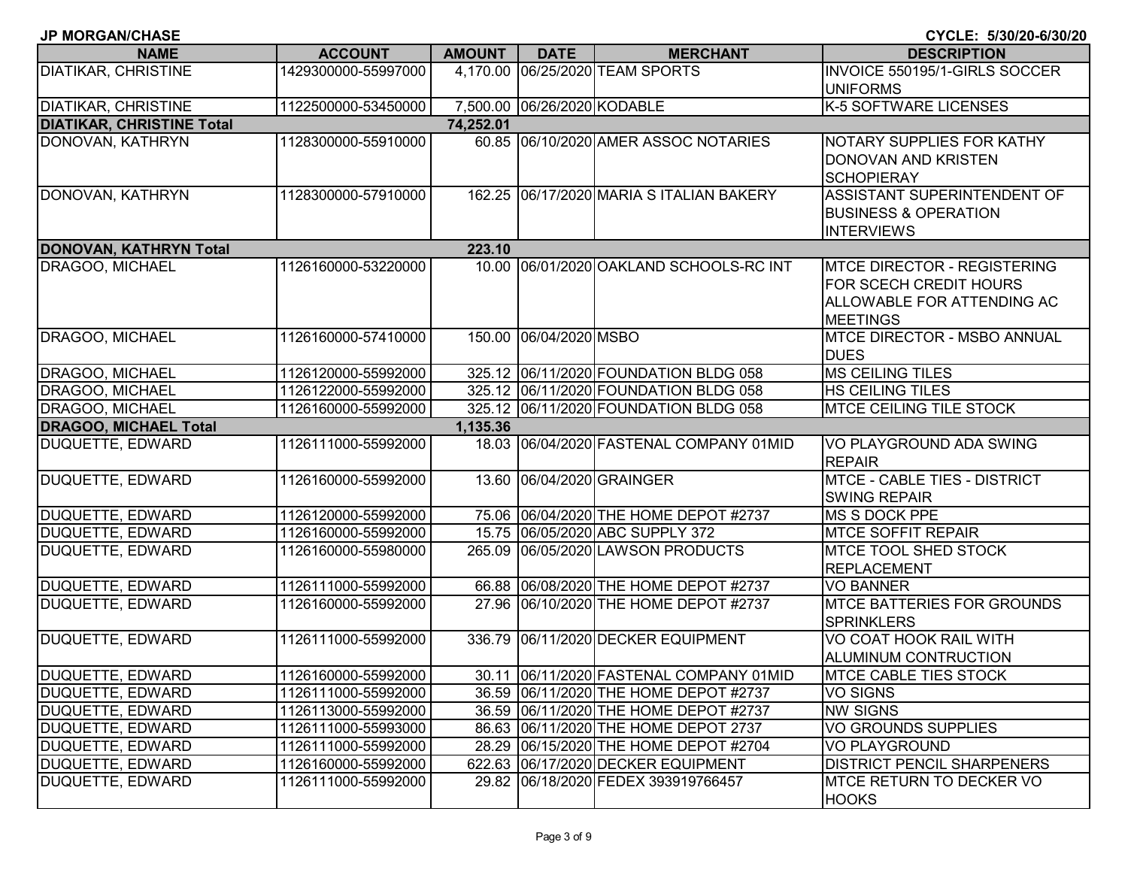| <b>NAME</b>                | <b>ACCOUNT</b>      | <b>AMOUNT</b> | <b>DATE</b>                 | <b>MERCHANT</b>                          | <b>DESCRIPTION</b>                 |
|----------------------------|---------------------|---------------|-----------------------------|------------------------------------------|------------------------------------|
| DIATIKAR, CHRISTINE        | 1429300000-55997000 |               |                             | 4,170.00 06/25/2020 TEAM SPORTS          | INVOICE 550195/1-GIRLS SOCCER      |
|                            |                     |               |                             |                                          | <b>UNIFORMS</b>                    |
| <b>DIATIKAR, CHRISTINE</b> | 1122500000-53450000 |               | 7,500.00 06/26/2020 KODABLE |                                          | K-5 SOFTWARE LICENSES              |
| DIATIKAR, CHRISTINE Total  |                     | 74,252.01     |                             |                                          |                                    |
| DONOVAN, KATHRYN           | 1128300000-55910000 |               |                             | 60.85 06/10/2020 AMER ASSOC NOTARIES     | NOTARY SUPPLIES FOR KATHY          |
|                            |                     |               |                             |                                          | DONOVAN AND KRISTEN                |
|                            |                     |               |                             |                                          | <b>SCHOPIERAY</b>                  |
| DONOVAN, KATHRYN           | 1128300000-57910000 |               |                             | 162.25 06/17/2020 MARIA S ITALIAN BAKERY | ASSISTANT SUPERINTENDENT OF        |
|                            |                     |               |                             |                                          | <b>BUSINESS &amp; OPERATION</b>    |
|                            |                     |               |                             |                                          | <b>INTERVIEWS</b>                  |
| DONOVAN, KATHRYN Total     |                     | 223.10        |                             |                                          |                                    |
| DRAGOO, MICHAEL            | 1126160000-53220000 |               |                             | 10.00 06/01/2020 OAKLAND SCHOOLS-RC INT  | <b>MTCE DIRECTOR - REGISTERING</b> |
|                            |                     |               |                             |                                          | FOR SCECH CREDIT HOURS             |
|                            |                     |               |                             |                                          | ALLOWABLE FOR ATTENDING AC         |
|                            |                     |               |                             |                                          | <b>MEETINGS</b>                    |
| DRAGOO, MICHAEL            | 1126160000-57410000 |               | 150.00 06/04/2020 MSBO      |                                          | <b>MTCE DIRECTOR - MSBO ANNUAL</b> |
|                            |                     |               |                             |                                          | <b>DUES</b>                        |
| DRAGOO, MICHAEL            | 1126120000-55992000 |               |                             | 325.12 06/11/2020 FOUNDATION BLDG 058    | MS CEILING TILES                   |
| DRAGOO, MICHAEL            | 1126122000-55992000 |               |                             | 325.12 06/11/2020 FOUNDATION BLDG 058    | <b>HS CEILING TILES</b>            |
| DRAGOO, MICHAEL            | 1126160000-55992000 |               |                             | 325.12 06/11/2020 FOUNDATION BLDG 058    | <b>MTCE CEILING TILE STOCK</b>     |
| DRAGOO, MICHAEL Total      |                     | 1,135.36      |                             |                                          |                                    |
| DUQUETTE, EDWARD           | 1126111000-55992000 |               |                             | 18.03 06/04/2020 FASTENAL COMPANY 01MID  | VO PLAYGROUND ADA SWING            |
|                            |                     |               |                             |                                          | <b>REPAIR</b>                      |
| DUQUETTE, EDWARD           | 1126160000-55992000 |               |                             | 13.60 06/04/2020 GRAINGER                | MTCE - CABLE TIES - DISTRICT       |
|                            |                     |               |                             |                                          | <b>SWING REPAIR</b>                |
| DUQUETTE, EDWARD           | 1126120000-55992000 |               |                             | 75.06 06/04/2020 THE HOME DEPOT #2737    | <b>MS S DOCK PPE</b>               |
| DUQUETTE, EDWARD           | 1126160000-55992000 |               |                             | 15.75 06/05/2020 ABC SUPPLY 372          | <b>MTCE SOFFIT REPAIR</b>          |
| DUQUETTE, EDWARD           | 1126160000-55980000 |               |                             | 265.09 06/05/2020 LAWSON PRODUCTS        | <b>MTCE TOOL SHED STOCK</b>        |
|                            |                     |               |                             |                                          | <b>REPLACEMENT</b>                 |
| DUQUETTE, EDWARD           | 1126111000-55992000 |               |                             | 66.88 06/08/2020 THE HOME DEPOT #2737    | <b>VO BANNER</b>                   |
| DUQUETTE, EDWARD           | 1126160000-55992000 |               |                             | 27.96 06/10/2020 THE HOME DEPOT #2737    | <b>IMTCE BATTERIES FOR GROUNDS</b> |
|                            |                     |               |                             |                                          | <b>SPRINKLERS</b>                  |
| DUQUETTE, EDWARD           | 1126111000-55992000 |               |                             | 336.79 06/11/2020 DECKER EQUIPMENT       | VO COAT HOOK RAIL WITH             |
|                            |                     |               |                             |                                          | ALUMINUM CONTRUCTION               |
| DUQUETTE, EDWARD           | 1126160000-55992000 |               |                             | 30.11 06/11/2020 FASTENAL COMPANY 01MID  | <b>MTCE CABLE TIES STOCK</b>       |
| DUQUETTE, EDWARD           | 1126111000-55992000 |               |                             | 36.59 06/11/2020 THE HOME DEPOT #2737    | <b>VO SIGNS</b>                    |
| DUQUETTE, EDWARD           | 1126113000-55992000 |               |                             | 36.59 06/11/2020 THE HOME DEPOT #2737    | <b>NW SIGNS</b>                    |
| DUQUETTE, EDWARD           | 1126111000-55993000 |               |                             | 86.63 06/11/2020 THE HOME DEPOT 2737     | VO GROUNDS SUPPLIES                |
| DUQUETTE, EDWARD           | 1126111000-55992000 |               |                             | 28.29 06/15/2020 THE HOME DEPOT #2704    | <b>VO PLAYGROUND</b>               |
| DUQUETTE, EDWARD           | 1126160000-55992000 |               |                             | 622.63 06/17/2020 DECKER EQUIPMENT       | <b>DISTRICT PENCIL SHARPENERS</b>  |
| DUQUETTE, EDWARD           | 1126111000-55992000 |               |                             | 29.82 06/18/2020 FEDEX 393919766457      | MTCE RETURN TO DECKER VO           |

**CYCLE: 5/30/20-6/30/20**

**JP MORGAN/CHASE**

HOOKS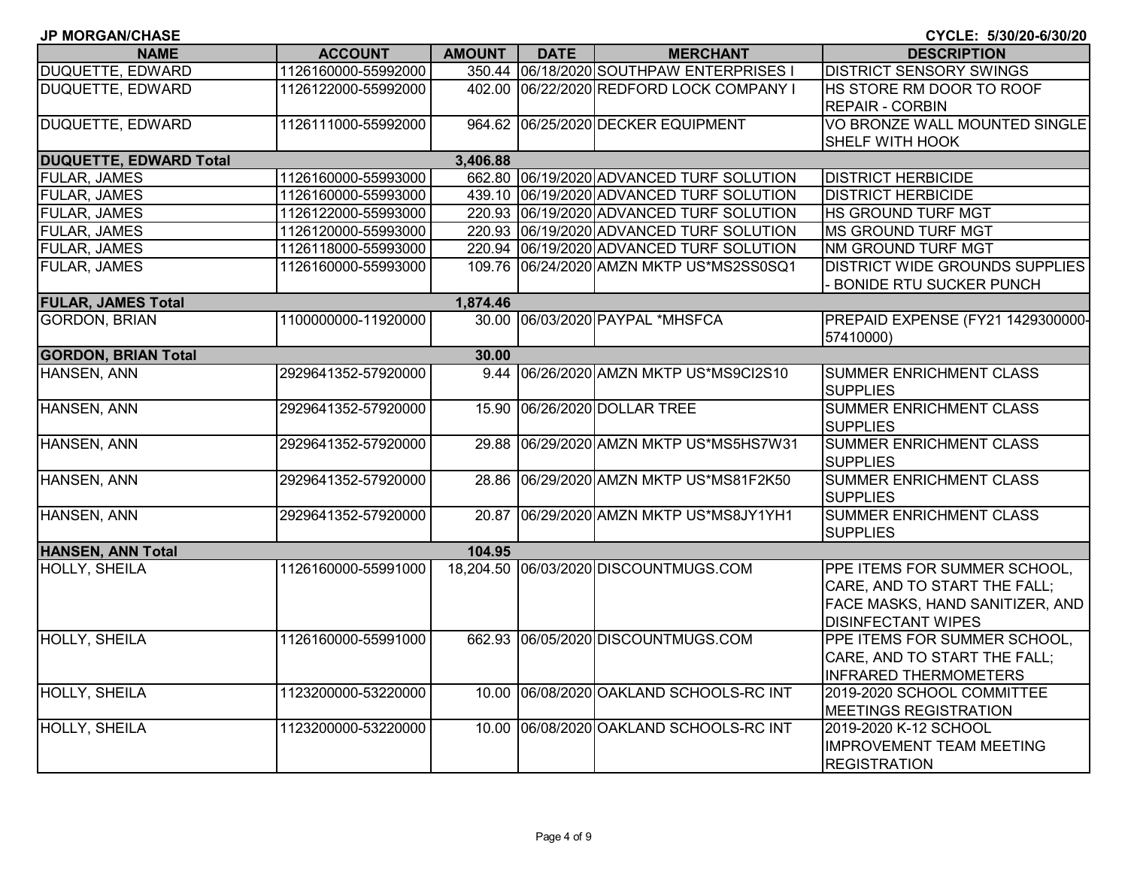| <b>JP MORGAN/CHASE</b><br>CYCLE: 5/30/20-6/30/20 |                     |               |             |                                          |                                                   |  |
|--------------------------------------------------|---------------------|---------------|-------------|------------------------------------------|---------------------------------------------------|--|
| <b>NAME</b>                                      | <b>ACCOUNT</b>      | <b>AMOUNT</b> | <b>DATE</b> | <b>MERCHANT</b>                          | <b>DESCRIPTION</b>                                |  |
| DUQUETTE, EDWARD                                 | 1126160000-55992000 |               |             | 350.44 06/18/2020 SOUTHPAW ENTERPRISES I | <b>DISTRICT SENSORY SWINGS</b>                    |  |
| DUQUETTE, EDWARD                                 | 1126122000-55992000 |               |             | 402.00 06/22/2020 REDFORD LOCK COMPANY I | HS STORE RM DOOR TO ROOF                          |  |
|                                                  |                     |               |             |                                          | <b>REPAIR - CORBIN</b>                            |  |
| DUQUETTE, EDWARD                                 | 1126111000-55992000 |               |             | 964.62 06/25/2020 DECKER EQUIPMENT       | VO BRONZE WALL MOUNTED SINGLE                     |  |
|                                                  |                     |               |             |                                          | SHELF WITH HOOK                                   |  |
| <b>DUQUETTE, EDWARD Total</b>                    |                     | 3,406.88      |             |                                          |                                                   |  |
| FULAR, JAMES                                     | 1126160000-55993000 |               |             | 662.80 06/19/2020 ADVANCED TURF SOLUTION | <b>DISTRICT HERBICIDE</b>                         |  |
| FULAR, JAMES                                     | 1126160000-55993000 |               |             | 439.10 06/19/2020 ADVANCED TURF SOLUTION | <b>DISTRICT HERBICIDE</b>                         |  |
| FULAR, JAMES                                     | 1126122000-55993000 |               |             | 220.93 06/19/2020 ADVANCED TURF SOLUTION | HS GROUND TURF MGT                                |  |
| FULAR, JAMES                                     | 1126120000-55993000 |               |             | 220.93 06/19/2020 ADVANCED TURF SOLUTION | <b>MS GROUND TURF MGT</b>                         |  |
| FULAR, JAMES                                     | 1126118000-55993000 |               |             | 220.94 06/19/2020 ADVANCED TURF SOLUTION | NM GROUND TURF MGT                                |  |
| FULAR, JAMES                                     | 1126160000-55993000 |               |             | 109.76 06/24/2020 AMZN MKTP US*MS2SS0SQ1 | <b>DISTRICT WIDE GROUNDS SUPPLIES</b>             |  |
|                                                  |                     |               |             |                                          | <b>BONIDE RTU SUCKER PUNCH</b>                    |  |
| <b>FULAR, JAMES Total</b>                        |                     | 1,874.46      |             |                                          |                                                   |  |
| <b>GORDON, BRIAN</b>                             | 1100000000-11920000 |               |             | 30.00 06/03/2020 PAYPAL *MHSFCA          | PREPAID EXPENSE (FY21 1429300000-<br>57410000)    |  |
| <b>GORDON, BRIAN Total</b>                       |                     | 30.00         |             |                                          |                                                   |  |
| HANSEN, ANN                                      | 2929641352-57920000 |               |             | 9.44 06/26/2020 AMZN MKTP US*MS9CI2S10   | SUMMER ENRICHMENT CLASS<br><b>SUPPLIES</b>        |  |
| HANSEN, ANN                                      | 2929641352-57920000 |               |             | 15.90 06/26/2020 DOLLAR TREE             | SUMMER ENRICHMENT CLASS<br><b>SUPPLIES</b>        |  |
| HANSEN, ANN                                      | 2929641352-57920000 |               |             | 29.88 06/29/2020 AMZN MKTP US*MS5HS7W31  | SUMMER ENRICHMENT CLASS<br><b>SUPPLIES</b>        |  |
| HANSEN, ANN                                      | 2929641352-57920000 |               |             | 28.86 06/29/2020 AMZN MKTP US*MS81F2K50  | SUMMER ENRICHMENT CLASS<br><b>SUPPLIES</b>        |  |
| HANSEN, ANN                                      | 2929641352-57920000 |               |             | 20.87 06/29/2020 AMZN MKTP US*MS8JY1YH1  | <b>SUMMER ENRICHMENT CLASS</b><br><b>SUPPLIES</b> |  |
| <b>HANSEN, ANN Total</b>                         |                     | 104.95        |             |                                          |                                                   |  |
| HOLLY, SHEILA                                    | 1126160000-55991000 |               |             | 18,204.50 06/03/2020 DISCOUNTMUGS.COM    | PPE ITEMS FOR SUMMER SCHOOL,                      |  |
|                                                  |                     |               |             |                                          | CARE, AND TO START THE FALL;                      |  |
|                                                  |                     |               |             |                                          | FACE MASKS, HAND SANITIZER, AND                   |  |
|                                                  |                     |               |             |                                          | <b>DISINFECTANT WIPES</b>                         |  |
| HOLLY, SHEILA                                    | 1126160000-55991000 |               |             | 662.93 06/05/2020 DISCOUNTMUGS.COM       | PPE ITEMS FOR SUMMER SCHOOL,                      |  |
|                                                  |                     |               |             |                                          | CARE, AND TO START THE FALL;                      |  |
|                                                  |                     |               |             |                                          | <b>INFRARED THERMOMETERS</b>                      |  |
| HOLLY, SHEILA                                    | 1123200000-53220000 |               |             | 10.00 06/08/2020 OAKLAND SCHOOLS-RC INT  | 2019-2020 SCHOOL COMMITTEE                        |  |
|                                                  |                     |               |             |                                          | MEETINGS REGISTRATION                             |  |
| HOLLY, SHEILA                                    | 1123200000-53220000 |               |             | 10.00 06/08/2020 OAKLAND SCHOOLS-RC INT  | 2019-2020 K-12 SCHOOL                             |  |
|                                                  |                     |               |             |                                          | <b>IMPROVEMENT TEAM MEETING</b>                   |  |
|                                                  |                     |               |             |                                          | <b>REGISTRATION</b>                               |  |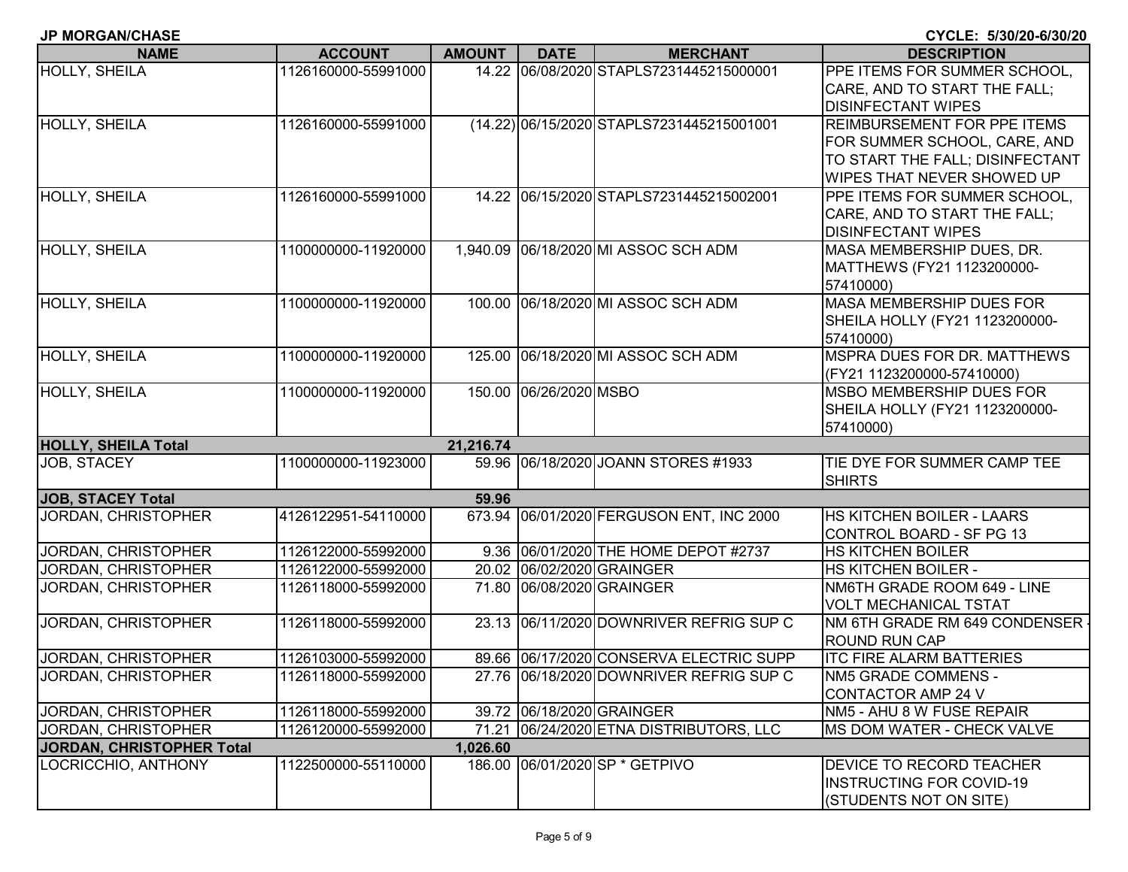| <b>JP MORGAN/CHASE</b> |
|------------------------|
|------------------------|

**CYCLE: 5/30/20-6/30/20**

| <b>NAME</b>                                             | <b>ACCOUNT</b>                             | <b>AMOUNT</b> | <b>DATE</b>            | <b>MERCHANT</b>                                                                    | <b>DESCRIPTION</b>                 |
|---------------------------------------------------------|--------------------------------------------|---------------|------------------------|------------------------------------------------------------------------------------|------------------------------------|
| HOLLY, SHEILA                                           | 1126160000-55991000                        |               |                        | 14.22 06/08/2020 STAPLS7231445215000001                                            | PPE ITEMS FOR SUMMER SCHOOL,       |
|                                                         |                                            |               |                        |                                                                                    | CARE, AND TO START THE FALL;       |
|                                                         |                                            |               |                        |                                                                                    | <b>DISINFECTANT WIPES</b>          |
| <b>HOLLY, SHEILA</b>                                    | 1126160000-55991000                        |               |                        | (14.22) 06/15/2020 STAPLS7231445215001001                                          | REIMBURSEMENT FOR PPE ITEMS        |
|                                                         |                                            |               |                        |                                                                                    | FOR SUMMER SCHOOL, CARE, AND       |
|                                                         |                                            |               |                        |                                                                                    | TO START THE FALL; DISINFECTANT    |
|                                                         |                                            |               |                        |                                                                                    | WIPES THAT NEVER SHOWED UP         |
| <b>HOLLY, SHEILA</b>                                    | 1126160000-55991000                        |               |                        | 14.22 06/15/2020 STAPLS7231445215002001                                            | PPE ITEMS FOR SUMMER SCHOOL,       |
|                                                         |                                            |               |                        |                                                                                    | CARE, AND TO START THE FALL;       |
|                                                         |                                            |               |                        |                                                                                    | <b>DISINFECTANT WIPES</b>          |
| <b>HOLLY, SHEILA</b>                                    | 1100000000-11920000                        |               |                        | 1,940.09 06/18/2020 MI ASSOC SCH ADM                                               | MASA MEMBERSHIP DUES, DR.          |
|                                                         |                                            |               |                        |                                                                                    | MATTHEWS (FY21 1123200000-         |
|                                                         |                                            |               |                        |                                                                                    | 57410000)                          |
| HOLLY, SHEILA                                           | 1100000000-11920000                        |               |                        | 100.00 06/18/2020 MI ASSOC SCH ADM                                                 | <b>MASA MEMBERSHIP DUES FOR</b>    |
|                                                         |                                            |               |                        |                                                                                    | SHEILA HOLLY (FY21 1123200000-     |
|                                                         |                                            |               |                        |                                                                                    | 57410000)                          |
| <b>HOLLY, SHEILA</b>                                    | 1100000000-11920000                        |               |                        | 125.00 06/18/2020 MI ASSOC SCH ADM                                                 | <b>MSPRA DUES FOR DR. MATTHEWS</b> |
|                                                         |                                            |               |                        |                                                                                    | (FY21 1123200000-57410000)         |
| <b>HOLLY, SHEILA</b>                                    | 1100000000-11920000                        |               | 150.00 06/26/2020 MSBO |                                                                                    | <b>MSBO MEMBERSHIP DUES FOR</b>    |
|                                                         |                                            |               |                        |                                                                                    | SHEILA HOLLY (FY21 1123200000-     |
|                                                         |                                            |               |                        |                                                                                    | 57410000)                          |
| <b>HOLLY, SHEILA Total</b>                              |                                            | 21,216.74     |                        |                                                                                    |                                    |
| JOB, STACEY                                             | 1100000000-11923000                        |               |                        | 59.96 06/18/2020 JOANN STORES #1933                                                | TIE DYE FOR SUMMER CAMP TEE        |
|                                                         |                                            |               |                        |                                                                                    | <b>SHIRTS</b>                      |
| JOB, STACEY Total                                       |                                            | 59.96         |                        |                                                                                    |                                    |
| JORDAN, CHRISTOPHER                                     | 4126122951-54110000                        |               |                        | 673.94 06/01/2020 FERGUSON ENT, INC 2000                                           | HS KITCHEN BOILER - LAARS          |
|                                                         |                                            |               |                        |                                                                                    | CONTROL BOARD - SF PG 13           |
| JORDAN, CHRISTOPHER                                     | 1126122000-55992000                        |               |                        | 9.36 06/01/2020 THE HOME DEPOT #2737                                               | <b>HS KITCHEN BOILER</b>           |
| JORDAN, CHRISTOPHER                                     | 1126122000-55992000                        |               |                        | 20.02 06/02/2020 GRAINGER                                                          | HS KITCHEN BOILER -                |
| JORDAN, CHRISTOPHER                                     | 1126118000-55992000                        |               |                        | 71.80 06/08/2020 GRAINGER                                                          | NM6TH GRADE ROOM 649 - LINE        |
|                                                         |                                            |               |                        |                                                                                    | <b>VOLT MECHANICAL TSTAT</b>       |
| JORDAN, CHRISTOPHER                                     | 1126118000-55992000                        |               |                        | 23.13 06/11/2020 DOWNRIVER REFRIG SUP C                                            | NM 6TH GRADE RM 649 CONDENSER -    |
|                                                         |                                            |               |                        |                                                                                    | <b>ROUND RUN CAP</b>               |
| JORDAN, CHRISTOPHER                                     | 1126103000-55992000<br>1126118000-55992000 |               |                        | 89.66 06/17/2020 CONSERVA ELECTRIC SUPP<br>27.76 06/18/2020 DOWNRIVER REFRIG SUP C | <b>ITC FIRE ALARM BATTERIES</b>    |
| JORDAN, CHRISTOPHER                                     |                                            |               |                        |                                                                                    | NM5 GRADE COMMENS -                |
|                                                         |                                            |               |                        |                                                                                    | CONTACTOR AMP 24 V                 |
| JORDAN, CHRISTOPHER                                     | 1126118000-55992000                        |               |                        | 39.72 06/18/2020 GRAINGER                                                          | NM5 - AHU 8 W FUSE REPAIR          |
| JORDAN, CHRISTOPHER<br><b>JORDAN, CHRISTOPHER Total</b> | 1126120000-55992000                        | 1,026.60      |                        | 71.21 06/24/2020 ETNA DISTRIBUTORS, LLC                                            | MS DOM WATER - CHECK VALVE         |
| LOCRICCHIO, ANTHONY                                     | 1122500000-55110000                        |               |                        | 186.00 06/01/2020 SP * GETPIVO                                                     | DEVICE TO RECORD TEACHER           |
|                                                         |                                            |               |                        |                                                                                    | <b>INSTRUCTING FOR COVID-19</b>    |
|                                                         |                                            |               |                        |                                                                                    | (STUDENTS NOT ON SITE)             |
|                                                         |                                            |               |                        |                                                                                    |                                    |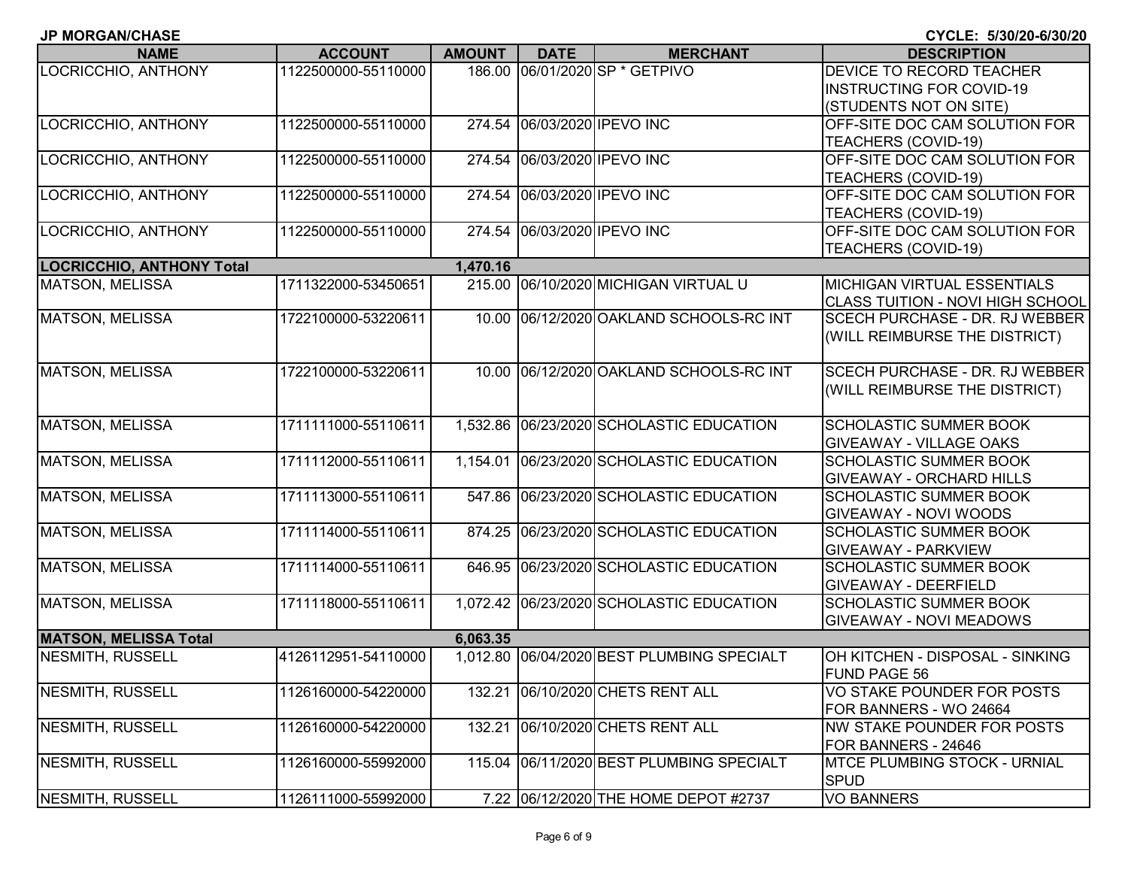| <b>JP MORGAN/CHASE</b> |
|------------------------|
|                        |

**CYCLE: 5/30/20-6/30/20**

| <b>NAME</b>                      | <b>ACCOUNT</b>      | <b>AMOUNT</b> | <b>DATE</b> | <b>MERCHANT</b>                            | <b>DESCRIPTION</b>                      |
|----------------------------------|---------------------|---------------|-------------|--------------------------------------------|-----------------------------------------|
| LOCRICCHIO, ANTHONY              | 1122500000-55110000 |               |             | 186.00 06/01/2020 SP * GETPIVO             | DEVICE TO RECORD TEACHER                |
|                                  |                     |               |             |                                            | <b>INSTRUCTING FOR COVID-19</b>         |
|                                  |                     |               |             |                                            | (STUDENTS NOT ON SITE)                  |
| LOCRICCHIO, ANTHONY              | 1122500000-55110000 |               |             | 274.54 06/03/2020 IPEVO INC                | OFF-SITE DOC CAM SOLUTION FOR           |
|                                  |                     |               |             |                                            | <b>TEACHERS (COVID-19)</b>              |
| LOCRICCHIO, ANTHONY              | 1122500000-55110000 |               |             | 274.54 06/03/2020 IPEVO INC                | OFF-SITE DOC CAM SOLUTION FOR           |
|                                  |                     |               |             |                                            | <b>TEACHERS (COVID-19)</b>              |
| LOCRICCHIO, ANTHONY              | 1122500000-55110000 |               |             | 274.54 06/03/2020 IPEVO INC                | OFF-SITE DOC CAM SOLUTION FOR           |
|                                  |                     |               |             |                                            | <b>TEACHERS (COVID-19)</b>              |
| LOCRICCHIO, ANTHONY              | 1122500000-55110000 |               |             | 274.54 06/03/2020 IPEVO INC                | OFF-SITE DOC CAM SOLUTION FOR           |
|                                  |                     |               |             |                                            | TEACHERS (COVID-19)                     |
| <b>LOCRICCHIO, ANTHONY Total</b> |                     | 1,470.16      |             |                                            |                                         |
| <b>MATSON, MELISSA</b>           | 1711322000-53450651 |               |             | 215.00 06/10/2020 MICHIGAN VIRTUAL U       | <b>MICHIGAN VIRTUAL ESSENTIALS</b>      |
|                                  |                     |               |             |                                            | <b>CLASS TUITION - NOVI HIGH SCHOOL</b> |
| <b>MATSON, MELISSA</b>           | 1722100000-53220611 |               |             | 10.00 06/12/2020 OAKLAND SCHOOLS-RC INT    | <b>SCECH PURCHASE - DR. RJ WEBBER</b>   |
|                                  |                     |               |             |                                            | (WILL REIMBURSE THE DISTRICT)           |
|                                  |                     |               |             |                                            |                                         |
| <b>MATSON, MELISSA</b>           | 1722100000-53220611 |               |             | 10.00 06/12/2020 OAKLAND SCHOOLS-RC INT    | SCECH PURCHASE - DR. RJ WEBBER          |
|                                  |                     |               |             |                                            | (WILL REIMBURSE THE DISTRICT)           |
|                                  |                     |               |             |                                            |                                         |
| <b>MATSON, MELISSA</b>           | 1711111000-55110611 |               |             | 1,532.86 06/23/2020 SCHOLASTIC EDUCATION   | <b>SCHOLASTIC SUMMER BOOK</b>           |
|                                  |                     |               |             |                                            | <b>GIVEAWAY - VILLAGE OAKS</b>          |
| <b>MATSON, MELISSA</b>           | 1711112000-55110611 | 1,154.01      |             | 06/23/2020 SCHOLASTIC EDUCATION            | <b>SCHOLASTIC SUMMER BOOK</b>           |
|                                  |                     |               |             |                                            | <b>GIVEAWAY - ORCHARD HILLS</b>         |
| <b>MATSON, MELISSA</b>           | 1711113000-55110611 |               |             | 547.86 06/23/2020 SCHOLASTIC EDUCATION     | <b>SCHOLASTIC SUMMER BOOK</b>           |
|                                  |                     |               |             |                                            | <b>GIVEAWAY - NOVI WOODS</b>            |
| <b>MATSON, MELISSA</b>           | 1711114000-55110611 |               |             | 874.25 06/23/2020 SCHOLASTIC EDUCATION     | <b>SCHOLASTIC SUMMER BOOK</b>           |
|                                  |                     |               |             |                                            | <b>GIVEAWAY - PARKVIEW</b>              |
| <b>MATSON, MELISSA</b>           | 1711114000-55110611 |               |             | 646.95 06/23/2020 SCHOLASTIC EDUCATION     | <b>SCHOLASTIC SUMMER BOOK</b>           |
|                                  |                     |               |             |                                            | <b>GIVEAWAY - DEERFIELD</b>             |
| <b>MATSON, MELISSA</b>           | 1711118000-55110611 |               |             | 1,072.42 06/23/2020 SCHOLASTIC EDUCATION   | <b>SCHOLASTIC SUMMER BOOK</b>           |
|                                  |                     |               |             |                                            | <b>GIVEAWAY - NOVI MEADOWS</b>          |
| <b>MATSON, MELISSA Total</b>     |                     | 6,063.35      |             |                                            |                                         |
| <b>NESMITH, RUSSELL</b>          | 4126112951-54110000 |               |             | 1,012.80 06/04/2020 BEST PLUMBING SPECIALT | OH KITCHEN - DISPOSAL - SINKING         |
|                                  |                     |               |             |                                            | <b>FUND PAGE 56</b>                     |
| <b>NESMITH, RUSSELL</b>          | 1126160000-54220000 | 132.21        |             | 06/10/2020 CHETS RENT ALL                  | VO STAKE POUNDER FOR POSTS              |
|                                  |                     |               |             |                                            | FOR BANNERS - WO 24664                  |
| <b>NESMITH, RUSSELL</b>          | 1126160000-54220000 | 132.21        |             | 06/10/2020 CHETS RENT ALL                  | NW STAKE POUNDER FOR POSTS              |
|                                  |                     |               |             |                                            | FOR BANNERS - 24646                     |
| <b>NESMITH, RUSSELL</b>          | 1126160000-55992000 |               |             | 115.04 06/11/2020 BEST PLUMBING SPECIALT   | <b>MTCE PLUMBING STOCK - URNIAL</b>     |
|                                  |                     |               |             |                                            | <b>SPUD</b>                             |
| NESMITH, RUSSELL                 | 1126111000-55992000 |               |             | 7.22 06/12/2020 THE HOME DEPOT #2737       | <b>VO BANNERS</b>                       |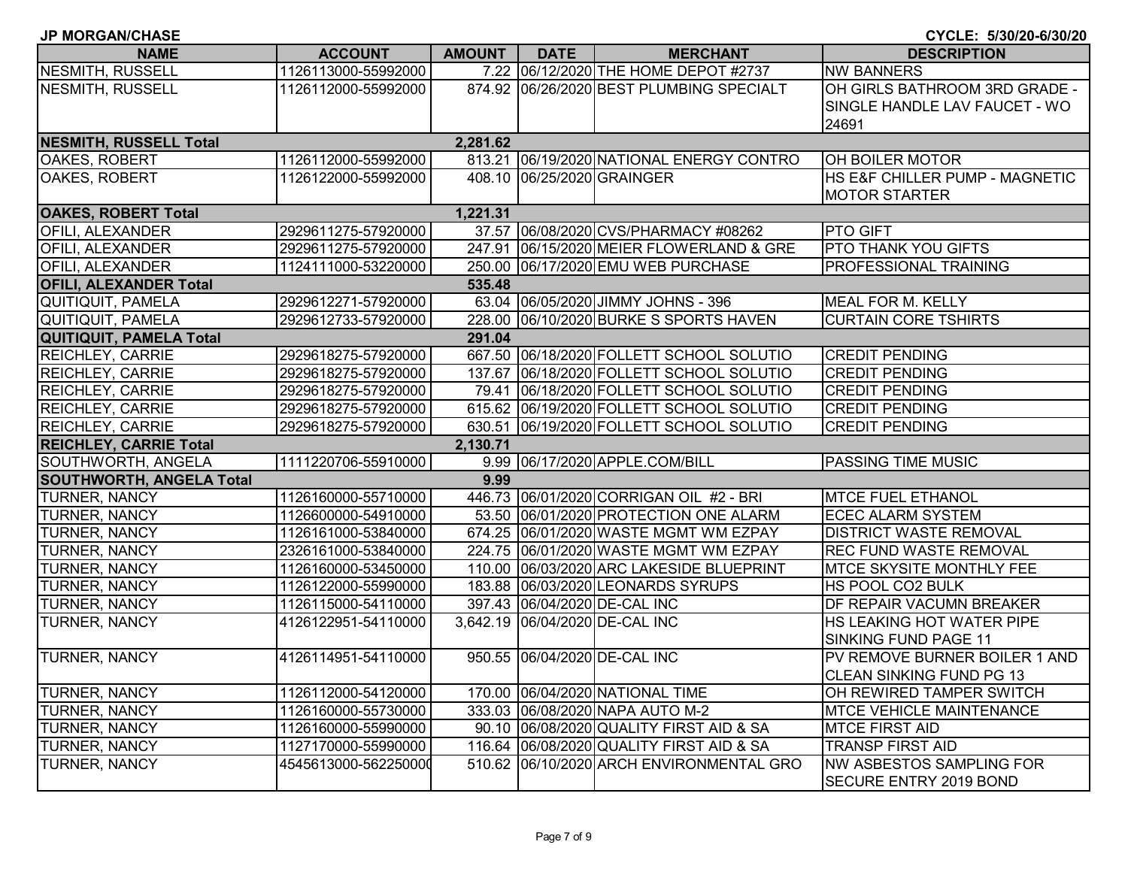| <b>JP MORGAN/CHASE</b><br>CYCLE: 5/30/20-6/30/20 |                      |               |             |                                          |                                 |  |
|--------------------------------------------------|----------------------|---------------|-------------|------------------------------------------|---------------------------------|--|
| <b>NAME</b>                                      | <b>ACCOUNT</b>       | <b>AMOUNT</b> | <b>DATE</b> | <b>MERCHANT</b>                          | <b>DESCRIPTION</b>              |  |
| <b>NESMITH, RUSSELL</b>                          | 1126113000-55992000  |               |             | 7.22 06/12/2020 THE HOME DEPOT #2737     | <b>NW BANNERS</b>               |  |
| NESMITH, RUSSELL                                 | 1126112000-55992000  |               |             | 874.92 06/26/2020 BEST PLUMBING SPECIALT | OH GIRLS BATHROOM 3RD GRADE -   |  |
|                                                  |                      |               |             |                                          | SINGLE HANDLE LAV FAUCET - WO   |  |
|                                                  |                      |               |             |                                          | 24691                           |  |
| <b>NESMITH, RUSSELL Total</b>                    |                      | 2,281.62      |             |                                          |                                 |  |
| OAKES, ROBERT                                    | 1126112000-55992000  |               |             | 813.21 06/19/2020 NATIONAL ENERGY CONTRO | OH BOILER MOTOR                 |  |
| OAKES, ROBERT                                    | 1126122000-55992000  |               |             | 408.10 06/25/2020 GRAINGER               | HS E&F CHILLER PUMP - MAGNETIC  |  |
|                                                  |                      |               |             |                                          | <b>MOTOR STARTER</b>            |  |
| <b>OAKES, ROBERT Total</b>                       |                      | 1,221.31      |             |                                          |                                 |  |
| <b>OFILI, ALEXANDER</b>                          | 2929611275-57920000  |               |             | 37.57 06/08/2020 CVS/PHARMACY #08262     | <b>PTO GIFT</b>                 |  |
| OFILI, ALEXANDER                                 | 2929611275-57920000  |               |             | 247.91 06/15/2020 MEIER FLOWERLAND & GRE | <b>PTO THANK YOU GIFTS</b>      |  |
| <b>OFILI, ALEXANDER</b>                          | 1124111000-53220000  | 250.00        |             | 06/17/2020 EMU WEB PURCHASE              | <b>PROFESSIONAL TRAINING</b>    |  |
| <b>OFILI, ALEXANDER Total</b>                    |                      | 535.48        |             |                                          |                                 |  |
| <b>QUITIQUIT, PAMELA</b>                         | 2929612271-57920000  |               |             | 63.04 06/05/2020 JIMMY JOHNS - 396       | MEAL FOR M. KELLY               |  |
| <b>QUITIQUIT, PAMELA</b>                         | 2929612733-57920000  |               |             | 228.00 06/10/2020 BURKE S SPORTS HAVEN   | <b>CURTAIN CORE TSHIRTS</b>     |  |
| <b>QUITIQUIT, PAMELA Total</b>                   |                      | 291.04        |             |                                          |                                 |  |
| <b>REICHLEY, CARRIE</b>                          | 2929618275-57920000  |               |             | 667.50 06/18/2020 FOLLETT SCHOOL SOLUTIO | <b>CREDIT PENDING</b>           |  |
| REICHLEY, CARRIE                                 | 2929618275-57920000  |               |             | 137.67 06/18/2020 FOLLETT SCHOOL SOLUTIO | <b>CREDIT PENDING</b>           |  |
| REICHLEY, CARRIE                                 | 2929618275-57920000  |               |             | 79.41 06/18/2020 FOLLETT SCHOOL SOLUTIO  | <b>CREDIT PENDING</b>           |  |
| REICHLEY, CARRIE                                 | 2929618275-57920000  |               |             | 615.62 06/19/2020 FOLLETT SCHOOL SOLUTIO | <b>CREDIT PENDING</b>           |  |
| REICHLEY, CARRIE                                 | 2929618275-57920000  |               |             | 630.51 06/19/2020 FOLLETT SCHOOL SOLUTIO | <b>CREDIT PENDING</b>           |  |
| <b>REICHLEY, CARRIE Total</b>                    |                      | 2,130.71      |             |                                          |                                 |  |
| <b>SOUTHWORTH, ANGELA</b>                        | 1111220706-55910000  |               |             | 9.99 06/17/2020 APPLE.COM/BILL           | <b>PASSING TIME MUSIC</b>       |  |
| <b>SOUTHWORTH, ANGELA Total</b>                  |                      | 9.99          |             |                                          |                                 |  |
| <b>TURNER, NANCY</b>                             | 1126160000-55710000  |               |             | 446.73 06/01/2020 CORRIGAN OIL #2 - BRI  | <b>MTCE FUEL ETHANOL</b>        |  |
| <b>TURNER, NANCY</b>                             | 1126600000-54910000  |               |             | 53.50 06/01/2020 PROTECTION ONE ALARM    | <b>ECEC ALARM SYSTEM</b>        |  |
| <b>TURNER, NANCY</b>                             | 1126161000-53840000  |               |             | 674.25 06/01/2020 WASTE MGMT WM EZPAY    | <b>DISTRICT WASTE REMOVAL</b>   |  |
| <b>TURNER, NANCY</b>                             | 2326161000-53840000  |               |             | 224.75 06/01/2020 WASTE MGMT WM EZPAY    | <b>REC FUND WASTE REMOVAL</b>   |  |
| <b>TURNER, NANCY</b>                             | 1126160000-53450000  |               |             | 110.00 06/03/2020 ARC LAKESIDE BLUEPRINT | <b>MTCE SKYSITE MONTHLY FEE</b> |  |
| TURNER, NANCY                                    | 1126122000-55990000  |               |             | 183.88 06/03/2020 LEONARDS SYRUPS        | HS POOL CO2 BULK                |  |
| TURNER, NANCY                                    | 1126115000-54110000  |               |             | 397.43 06/04/2020 DE-CAL INC             | DF REPAIR VACUMN BREAKER        |  |
| TURNER, NANCY                                    | 4126122951-54110000  |               |             | 3,642.19 06/04/2020 DE-CAL INC           | HS LEAKING HOT WATER PIPE       |  |
|                                                  |                      |               |             |                                          | SINKING FUND PAGE 11            |  |
| <b>TURNER, NANCY</b>                             | 4126114951-54110000  |               |             | 950.55 06/04/2020 DE-CAL INC             | PV REMOVE BURNER BOILER 1 AND   |  |
|                                                  |                      |               |             |                                          | <b>CLEAN SINKING FUND PG 13</b> |  |
| <b>TURNER, NANCY</b>                             | 1126112000-54120000  |               |             | 170.00 06/04/2020 NATIONAL TIME          | OH REWIRED TAMPER SWITCH        |  |
| <b>TURNER, NANCY</b>                             | 1126160000-55730000  |               |             | 333.03 06/08/2020 NAPA AUTO M-2          | <b>MTCE VEHICLE MAINTENANCE</b> |  |
| <b>TURNER, NANCY</b>                             | 1126160000-55990000  |               |             | 90.10 06/08/2020 QUALITY FIRST AID & SA  | <b>MTCE FIRST AID</b>           |  |
| <b>TURNER, NANCY</b>                             | 1127170000-55990000  |               |             | 116.64 06/08/2020 QUALITY FIRST AID & SA | <b>TRANSP FIRST AID</b>         |  |
| <b>TURNER, NANCY</b>                             | 4545613000-562250000 |               |             | 510.62 06/10/2020 ARCH ENVIRONMENTAL GRO | NW ASBESTOS SAMPLING FOR        |  |
|                                                  |                      |               |             |                                          | <b>SECURE ENTRY 2019 BOND</b>   |  |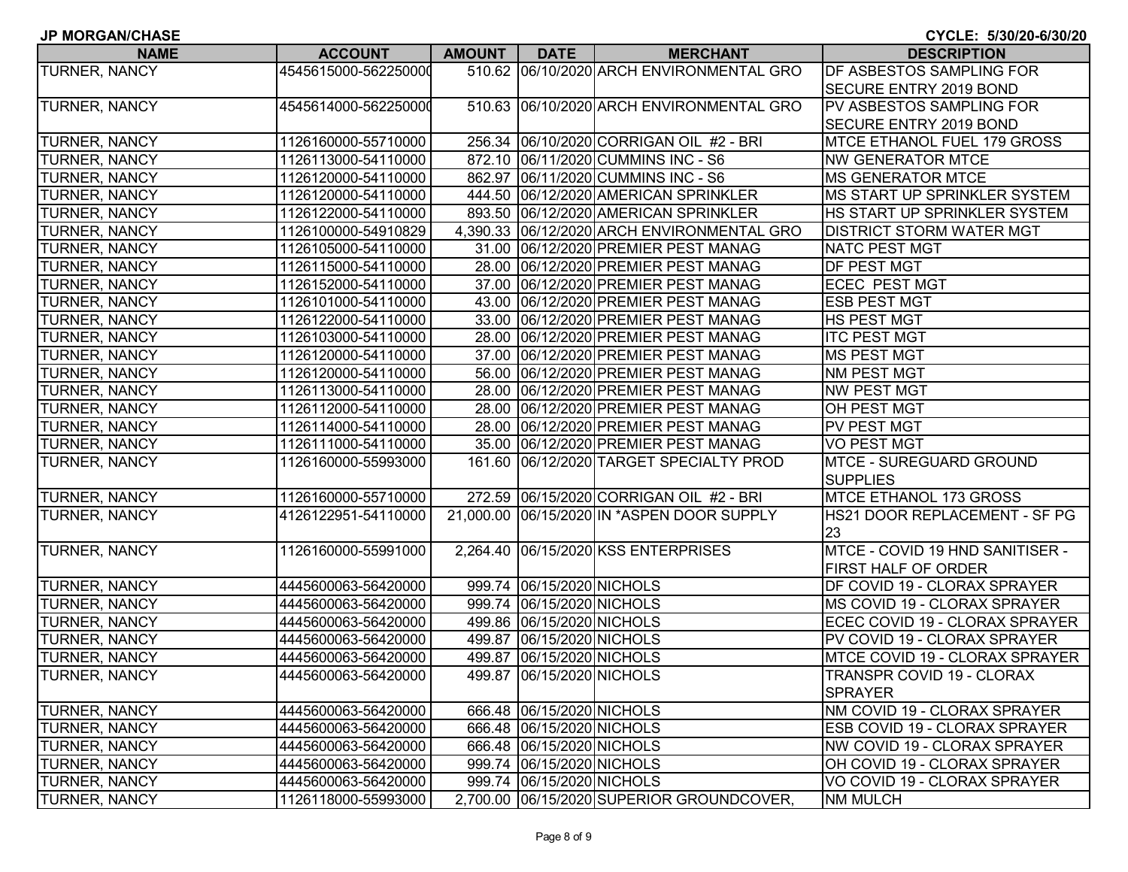| <b>JP MORGAN/CHASE</b> |                      |               |                           |                                            | CYCLE: 5/30/20-6/30/20             |
|------------------------|----------------------|---------------|---------------------------|--------------------------------------------|------------------------------------|
| <b>NAME</b>            | <b>ACCOUNT</b>       | <b>AMOUNT</b> | <b>DATE</b>               | <b>MERCHANT</b>                            | <b>DESCRIPTION</b>                 |
| <b>TURNER, NANCY</b>   | 4545615000-562250000 | 510.62        |                           | 06/10/2020 ARCH ENVIRONMENTAL GRO          | <b>DF ASBESTOS SAMPLING FOR</b>    |
|                        |                      |               |                           |                                            | SECURE ENTRY 2019 BOND             |
| <b>TURNER, NANCY</b>   | 4545614000-562250000 |               |                           | 510.63 06/10/2020 ARCH ENVIRONMENTAL GRO   | PV ASBESTOS SAMPLING FOR           |
|                        |                      |               |                           |                                            | <b>SECURE ENTRY 2019 BOND</b>      |
| <b>TURNER, NANCY</b>   | 1126160000-55710000  |               |                           | 256.34 06/10/2020 CORRIGAN OIL #2 - BRI    | <b>MTCE ETHANOL FUEL 179 GROSS</b> |
| <b>TURNER, NANCY</b>   | 1126113000-54110000  |               |                           | 872.10 06/11/2020 CUMMINS INC - S6         | <b>NW GENERATOR MTCE</b>           |
| <b>TURNER, NANCY</b>   | 1126120000-54110000  |               |                           | 862.97 06/11/2020 CUMMINS INC - S6         | <b>IMS GENERATOR MTCE</b>          |
| <b>TURNER, NANCY</b>   | 1126120000-54110000  |               |                           | 444.50 06/12/2020 AMERICAN SPRINKLER       | MS START UP SPRINKLER SYSTEM       |
| <b>TURNER, NANCY</b>   | 1126122000-54110000  |               |                           | 893.50 06/12/2020 AMERICAN SPRINKLER       | HS START UP SPRINKLER SYSTEM       |
| <b>TURNER, NANCY</b>   | 1126100000-54910829  |               |                           | 4,390.33 06/12/2020 ARCH ENVIRONMENTAL GRO | <b>DISTRICT STORM WATER MGT</b>    |
| <b>TURNER, NANCY</b>   | 1126105000-54110000  |               |                           | 31.00 06/12/2020 PREMIER PEST MANAG        | <b>NATC PEST MGT</b>               |
| <b>TURNER, NANCY</b>   | 1126115000-54110000  | 28.00         |                           | 06/12/2020 PREMIER PEST MANAG              | DF PEST MGT                        |
| <b>TURNER, NANCY</b>   | 1126152000-54110000  | 37.00         |                           | 06/12/2020 PREMIER PEST MANAG              | <b>ECEC PEST MGT</b>               |
| <b>TURNER, NANCY</b>   | 1126101000-54110000  | 43.00         |                           | 06/12/2020 PREMIER PEST MANAG              | <b>ESB PEST MGT</b>                |
| <b>TURNER, NANCY</b>   | 1126122000-54110000  | 33.00         |                           | 06/12/2020 PREMIER PEST MANAG              | <b>HS PEST MGT</b>                 |
| <b>TURNER, NANCY</b>   | 1126103000-54110000  | 28.00         |                           | 06/12/2020 PREMIER PEST MANAG              | <b>ITC PEST MGT</b>                |
| <b>TURNER, NANCY</b>   | 1126120000-54110000  |               |                           | 37.00 06/12/2020 PREMIER PEST MANAG        | <b>MS PEST MGT</b>                 |
| <b>TURNER, NANCY</b>   | 1126120000-54110000  |               |                           | 56.00 06/12/2020 PREMIER PEST MANAG        | <b>NM PEST MGT</b>                 |
| <b>TURNER, NANCY</b>   | 1126113000-54110000  |               |                           | 28.00 06/12/2020 PREMIER PEST MANAG        | <b>NW PEST MGT</b>                 |
| <b>TURNER, NANCY</b>   | 1126112000-54110000  | 28.00         |                           | 06/12/2020 PREMIER PEST MANAG              | OH PEST MGT                        |
| <b>TURNER, NANCY</b>   | 1126114000-54110000  | 28.00         |                           | 06/12/2020 PREMIER PEST MANAG              | PV PEST MGT                        |
| <b>TURNER, NANCY</b>   | 1126111000-54110000  |               |                           | 35.00 06/12/2020 PREMIER PEST MANAG        | <b>VO PEST MGT</b>                 |
| <b>TURNER, NANCY</b>   | 1126160000-55993000  | 161.60        |                           | 06/12/2020 TARGET SPECIALTY PROD           | <b>MTCE - SUREGUARD GROUND</b>     |
|                        |                      |               |                           |                                            | <b>SUPPLIES</b>                    |
| <b>TURNER, NANCY</b>   | 1126160000-55710000  |               |                           | 272.59 06/15/2020 CORRIGAN OIL #2 - BRI    | <b>MTCE ETHANOL 173 GROSS</b>      |
| <b>TURNER, NANCY</b>   | 4126122951-54110000  | 21,000.00     |                           | 06/15/2020 IN *ASPEN DOOR SUPPLY           | HS21 DOOR REPLACEMENT - SF PG      |
|                        |                      |               |                           |                                            | 23                                 |
| <b>TURNER, NANCY</b>   | 1126160000-55991000  | 2,264.40      |                           | 06/15/2020 KSS ENTERPRISES                 | MTCE - COVID 19 HND SANITISER -    |
|                        |                      |               |                           |                                            | <b>FIRST HALF OF ORDER</b>         |
| <b>TURNER, NANCY</b>   | 4445600063-56420000  |               | 999.74 06/15/2020 NICHOLS |                                            | DF COVID 19 - CLORAX SPRAYER       |
| <b>TURNER, NANCY</b>   | 4445600063-56420000  |               | 999.74 06/15/2020 NICHOLS |                                            | MS COVID 19 - CLORAX SPRAYER       |
| <b>TURNER, NANCY</b>   | 4445600063-56420000  |               | 499.86 06/15/2020 NICHOLS |                                            | ECEC COVID 19 - CLORAX SPRAYER     |
| <b>TURNER, NANCY</b>   | 4445600063-56420000  |               | 499.87 06/15/2020 NICHOLS |                                            | PV COVID 19 - CLORAX SPRAYER       |
| <b>TURNER, NANCY</b>   | 4445600063-56420000  |               | 499.87 06/15/2020 NICHOLS |                                            | MTCE COVID 19 - CLORAX SPRAYER     |
| <b>TURNER, NANCY</b>   | 4445600063-56420000  |               | 499.87 06/15/2020 NICHOLS |                                            | <b>TRANSPR COVID 19 - CLORAX</b>   |
|                        |                      |               |                           |                                            | <b>SPRAYER</b>                     |
| <b>TURNER, NANCY</b>   | 4445600063-56420000  |               | 666.48 06/15/2020 NICHOLS |                                            | NM COVID 19 - CLORAX SPRAYER       |
| <b>TURNER, NANCY</b>   | 4445600063-56420000  |               | 666.48 06/15/2020 NICHOLS |                                            | ESB COVID 19 - CLORAX SPRAYER      |
| <b>TURNER, NANCY</b>   | 4445600063-56420000  |               | 666.48 06/15/2020 NICHOLS |                                            | NW COVID 19 - CLORAX SPRAYER       |
| <b>TURNER, NANCY</b>   | 4445600063-56420000  |               | 999.74 06/15/2020 NICHOLS |                                            | OH COVID 19 - CLORAX SPRAYER       |
| <b>TURNER, NANCY</b>   | 4445600063-56420000  |               | 999.74 06/15/2020 NICHOLS |                                            | VO COVID 19 - CLORAX SPRAYER       |
| <b>TURNER, NANCY</b>   | 1126118000-55993000  |               |                           | 2,700.00 06/15/2020 SUPERIOR GROUNDCOVER,  | <b>NM MULCH</b>                    |